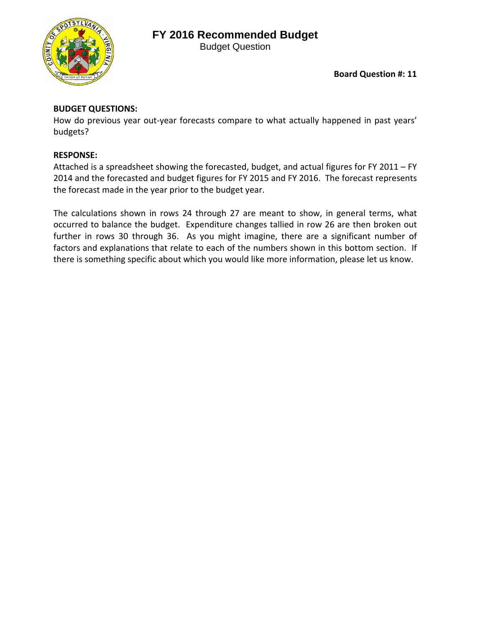## **FY 2016 Recommended Budget**



Budget Question

**Board Question #: 11**

## **BUDGET QUESTIONS:**

How do previous year out-year forecasts compare to what actually happened in past years' budgets?

## **RESPONSE:**

Attached is a spreadsheet showing the forecasted, budget, and actual figures for FY 2011 – FY 2014 and the forecasted and budget figures for FY 2015 and FY 2016. The forecast represents the forecast made in the year prior to the budget year.

The calculations shown in rows 24 through 27 are meant to show, in general terms, what occurred to balance the budget. Expenditure changes tallied in row 26 are then broken out further in rows 30 through 36. As you might imagine, there are a significant number of factors and explanations that relate to each of the numbers shown in this bottom section. If there is something specific about which you would like more information, please let us know.